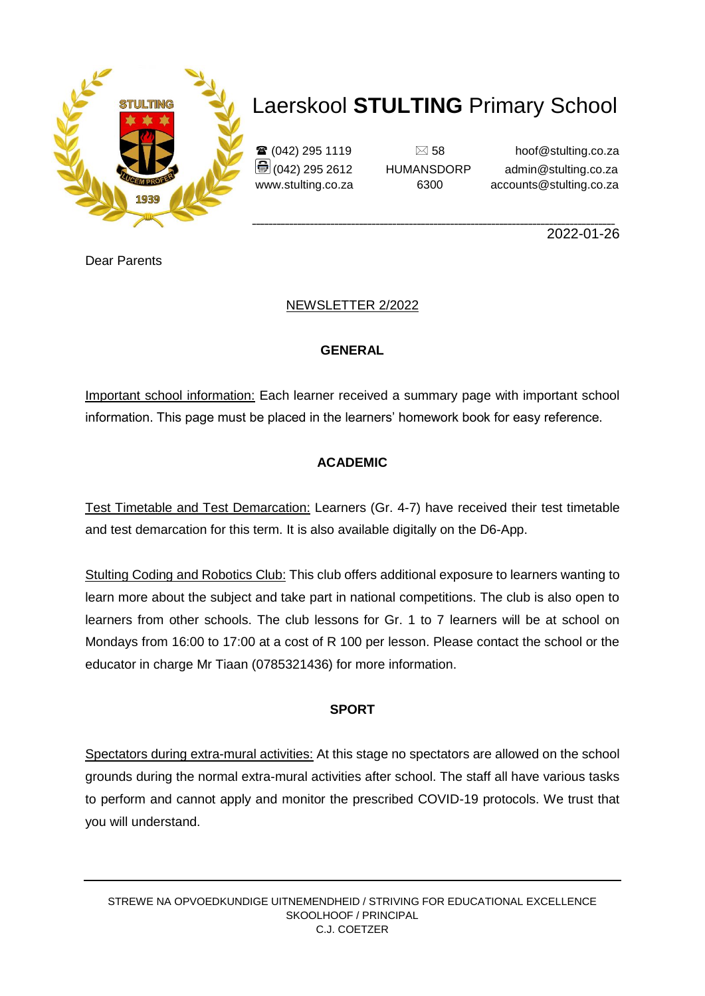

 $\mathbf{\widehat{a}}$  (042) 295 1119  $\Box$  58 hoof@stulting.co.za  $\bigcirc$  (042) 295 2612 HUMANSDORP admin@stulting.co.za www.stulting.co.za 6300 accounts@stulting.co.za

**\_\_\_\_\_\_\_\_\_\_\_\_\_\_\_\_\_\_\_\_\_\_\_\_\_\_\_\_\_\_\_\_\_\_\_\_\_\_\_\_\_\_\_\_\_\_\_\_\_\_\_\_\_\_\_\_\_\_\_\_\_\_\_\_\_\_\_\_\_\_\_\_\_\_\_\_\_\_\_\_\_\_\_\_\_\_\_\_** 2022-01-26

Dear Parents

### NEWSLETTER 2/2022

### **GENERAL**

Important school information: Each learner received a summary page with important school information. This page must be placed in the learners' homework book for easy reference.

### **ACADEMIC**

Test Timetable and Test Demarcation: Learners (Gr. 4-7) have received their test timetable and test demarcation for this term. It is also available digitally on the D6-App.

Stulting Coding and Robotics Club: This club offers additional exposure to learners wanting to learn more about the subject and take part in national competitions. The club is also open to learners from other schools. The club lessons for Gr. 1 to 7 learners will be at school on Mondays from 16:00 to 17:00 at a cost of R 100 per lesson. Please contact the school or the educator in charge Mr Tiaan (0785321436) for more information.

### **SPORT**

Spectators during extra-mural activities: At this stage no spectators are allowed on the school grounds during the normal extra-mural activities after school. The staff all have various tasks to perform and cannot apply and monitor the prescribed COVID-19 protocols. We trust that you will understand.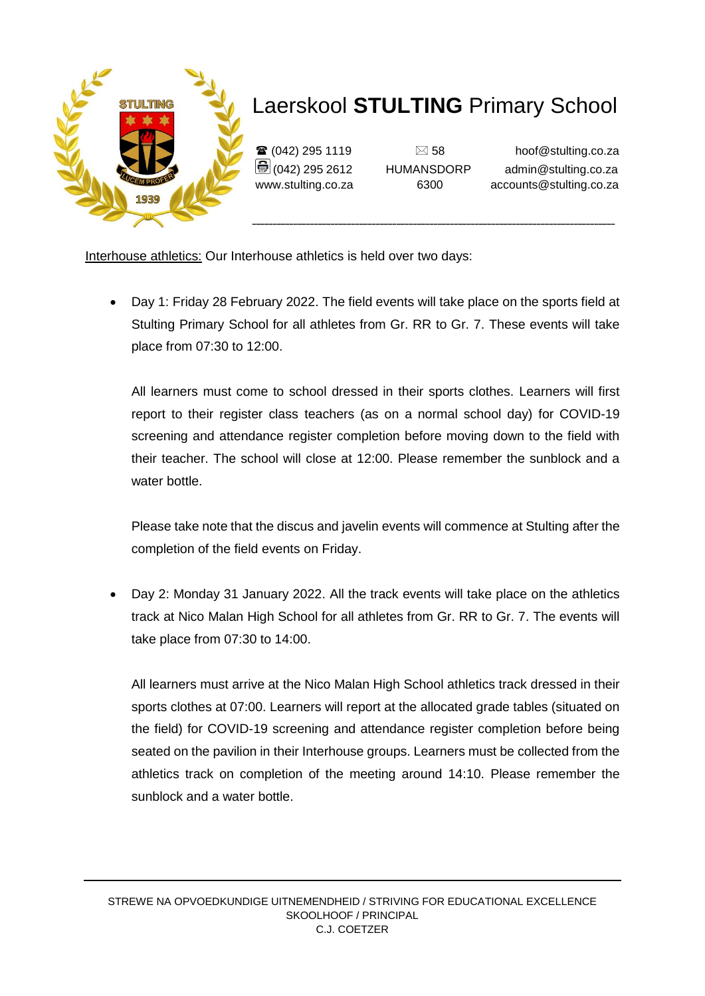

 $\mathbf{\widehat{a}}$  (042) 295 1119  $\Box$  58 hoof@stulting.co.za  $\bigcirc$  (042) 295 2612 HUMANSDORP admin@stulting.co.za www.stulting.co.za 6300 accounts@stulting.co.za

Interhouse athletics: Our Interhouse athletics is held over two days:

 Day 1: Friday 28 February 2022. The field events will take place on the sports field at Stulting Primary School for all athletes from Gr. RR to Gr. 7. These events will take place from 07:30 to 12:00.

All learners must come to school dressed in their sports clothes. Learners will first report to their register class teachers (as on a normal school day) for COVID-19 screening and attendance register completion before moving down to the field with their teacher. The school will close at 12:00. Please remember the sunblock and a water bottle.

Please take note that the discus and javelin events will commence at Stulting after the completion of the field events on Friday.

 Day 2: Monday 31 January 2022. All the track events will take place on the athletics track at Nico Malan High School for all athletes from Gr. RR to Gr. 7. The events will take place from 07:30 to 14:00.

All learners must arrive at the Nico Malan High School athletics track dressed in their sports clothes at 07:00. Learners will report at the allocated grade tables (situated on the field) for COVID-19 screening and attendance register completion before being seated on the pavilion in their Interhouse groups. Learners must be collected from the athletics track on completion of the meeting around 14:10. Please remember the sunblock and a water bottle.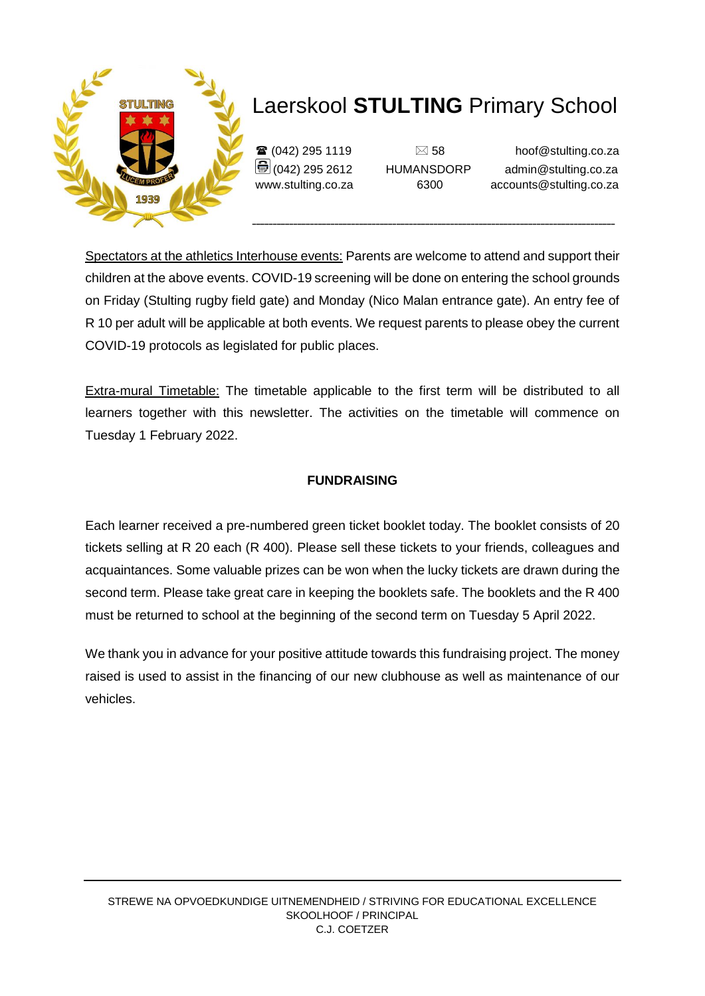

 $\mathbf{\widehat{a}}$  (042) 295 1119  $\Box$  58 hoof@stulting.co.za  $\bigcirc$  (042) 295 2612 HUMANSDORP admin@stulting.co.za www.stulting.co.za 6300 accounts@stulting.co.za

Spectators at the athletics Interhouse events: Parents are welcome to attend and support their children at the above events. COVID-19 screening will be done on entering the school grounds on Friday (Stulting rugby field gate) and Monday (Nico Malan entrance gate). An entry fee of R 10 per adult will be applicable at both events. We request parents to please obey the current COVID-19 protocols as legislated for public places.

Extra-mural Timetable: The timetable applicable to the first term will be distributed to all learners together with this newsletter. The activities on the timetable will commence on Tuesday 1 February 2022.

#### **FUNDRAISING**

Each learner received a pre-numbered green ticket booklet today. The booklet consists of 20 tickets selling at R 20 each (R 400). Please sell these tickets to your friends, colleagues and acquaintances. Some valuable prizes can be won when the lucky tickets are drawn during the second term. Please take great care in keeping the booklets safe. The booklets and the R 400 must be returned to school at the beginning of the second term on Tuesday 5 April 2022.

We thank you in advance for your positive attitude towards this fundraising project. The money raised is used to assist in the financing of our new clubhouse as well as maintenance of our vehicles.